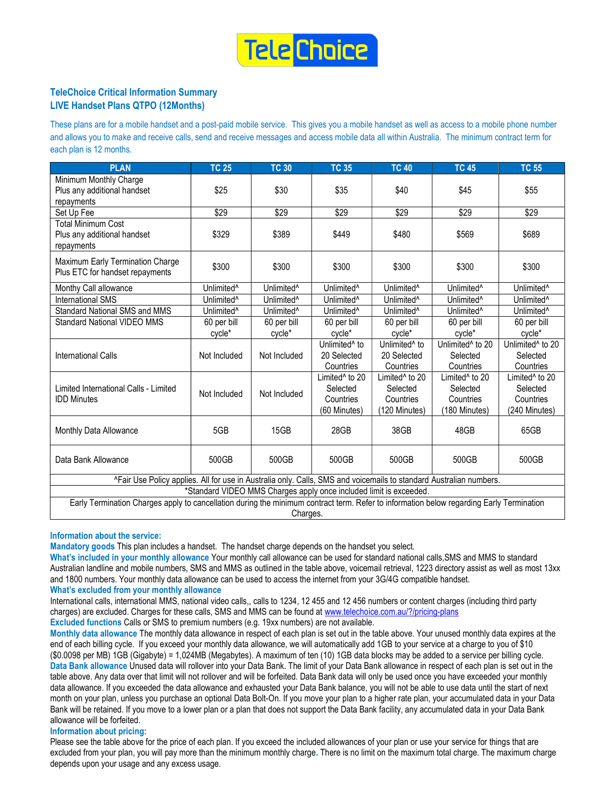

# TeleChoice Critical Information Summary LIVE Handset Plans QTPO (12Months)

These plans are for a mobile handset and a post-paid mobile service. This gives you a mobile handset as well as access to a mobile phone number and allows you to make and receive calls, send and receive messages and access mobile data all within Australia. The minimum contract term for each plan is 12 months.

| <b>PLAN</b>                                                                                                        | <b>TC 25</b>           | <b>TC 30</b>           | <b>TC 35</b>                                                                                                                                                   | <b>TC 40</b>                                                         | <b>TC 45</b>                                                         | <b>TC 55</b>                                                         |  |  |  |  |  |  |
|--------------------------------------------------------------------------------------------------------------------|------------------------|------------------------|----------------------------------------------------------------------------------------------------------------------------------------------------------------|----------------------------------------------------------------------|----------------------------------------------------------------------|----------------------------------------------------------------------|--|--|--|--|--|--|
| Minimum Monthly Charge<br>Plus any additional handset<br>repayments                                                | \$25                   | \$30                   | \$35                                                                                                                                                           | \$40                                                                 | \$45                                                                 | \$55                                                                 |  |  |  |  |  |  |
| Set Up Fee                                                                                                         | \$29                   | \$29                   | \$29                                                                                                                                                           | \$29                                                                 | \$29                                                                 | \$29                                                                 |  |  |  |  |  |  |
| <b>Total Minimum Cost</b><br>Plus any additional handset<br>repayments                                             | \$329                  | \$389                  | \$449                                                                                                                                                          | \$480                                                                | \$569                                                                | \$689                                                                |  |  |  |  |  |  |
| Maximum Early Termination Charge<br>Plus ETC for handset repayments                                                | \$300                  | \$300                  | \$300                                                                                                                                                          | \$300                                                                | \$300                                                                | \$300                                                                |  |  |  |  |  |  |
| Monthy Call allowance                                                                                              | Unlimited <sup>^</sup> | Unlimited <sup>^</sup> | Unlimited <sup>^</sup>                                                                                                                                         | Unlimited <sup>^</sup>                                               | Unlimited <sup>^</sup>                                               | Unlimited <sup>^</sup>                                               |  |  |  |  |  |  |
| <b>International SMS</b>                                                                                           | Unlimited <sup>^</sup> | Unlimited <sup>^</sup> | Unlimited <sup>^</sup>                                                                                                                                         | Unlimited <sup>^</sup>                                               | Unlimited <sup>^</sup>                                               | Unlimited <sup>^</sup>                                               |  |  |  |  |  |  |
| Standard National SMS and MMS                                                                                      | Unlimited <sup>^</sup> | Unlimited <sup>^</sup> | Unlimited <sup>^</sup>                                                                                                                                         | Unlimited <sup>^</sup>                                               | Unlimited <sup>^</sup>                                               | Unlimited <sup>^</sup>                                               |  |  |  |  |  |  |
| <b>Standard National VIDEO MMS</b>                                                                                 | 60 per bill            | 60 per bill            | 60 per bill                                                                                                                                                    | 60 per bill                                                          | 60 per bill                                                          | 60 per bill                                                          |  |  |  |  |  |  |
|                                                                                                                    | cycle*                 | cycle*                 | cycle*                                                                                                                                                         | cycle*                                                               | cycle*                                                               | cycle*                                                               |  |  |  |  |  |  |
| International Calls                                                                                                | Not Included           | Not Included           | Unlimited <sup>^</sup> to<br>20 Selected<br>Countries                                                                                                          | Unlimited <sup>^</sup> to<br>20 Selected<br>Countries                | Unlimited <sup>^</sup> to 20<br>Selected<br>Countries                | Unlimited <sup>^</sup> to 20<br>Selected<br>Countries                |  |  |  |  |  |  |
| Limited International Calls - Limited<br><b>IDD Minutes</b>                                                        | Not Included           | Not Included           | Limited <sup>^</sup> to 20<br>Selected<br>Countries<br>(60 Minutes)                                                                                            | Limited <sup>^</sup> to 20<br>Selected<br>Countries<br>(120 Minutes) | Limited <sup>^</sup> to 20<br>Selected<br>Countries<br>(180 Minutes) | Limited <sup>^</sup> to 20<br>Selected<br>Countries<br>(240 Minutes) |  |  |  |  |  |  |
| Monthly Data Allowance                                                                                             | 5GB                    | 15GB                   | 28GB                                                                                                                                                           | 38GB                                                                 | 48GB                                                                 | 65GB                                                                 |  |  |  |  |  |  |
| Data Bank Allowance                                                                                                | 500GB                  | 500GB                  | 500GB                                                                                                                                                          | 500GB                                                                | 500GB                                                                | 500GB                                                                |  |  |  |  |  |  |
| ^Fair Use Policy applies. All for use in Australia only. Calls, SMS and voicemails to standard Australian numbers. |                        |                        |                                                                                                                                                                |                                                                      |                                                                      |                                                                      |  |  |  |  |  |  |
| *Standard VIDEO MMS Charges apply once included limit is exceeded.                                                 |                        |                        |                                                                                                                                                                |                                                                      |                                                                      |                                                                      |  |  |  |  |  |  |
| ロッオー エンジン しょうしょうしょう                                                                                                |                        |                        | $-1 - 1 - 1$<br>a contradición de la contradición de la contradición de la contradición de la contradición de la contradición<br>アルフルー しょうしんせい こぼう ルーテン いきこうせい |                                                                      |                                                                      |                                                                      |  |  |  |  |  |  |

Early Termination Charges apply to cancellation during the minimum contract term. Refer to information below regarding Early Termination Charges.

### Information about the service:

Mandatory goods This plan includes a handset. The handset charge depends on the handset you select.

What's included in your monthly allowance Your monthly call allowance can be used for standard national calls,SMS and MMS to standard Australian landline and mobile numbers, SMS and MMS as outlined in the table above, voicemail retrieval, 1223 directory assist as well as most 13xx and 1800 numbers. Your monthly data allowance can be used to access the internet from your 3G/4G compatible handset.

What's excluded from your monthly allowance

International calls, international MMS, national video calls,, calls to 1234, 12 455 and 12 456 numbers or content charges (including third party charges) are excluded. Charges for these calls, SMS and MMS can be found at www.telechoice.com.au/?/pricing-plans Excluded functions Calls or SMS to premium numbers (e.g. 19xx numbers) are not available.

Monthly data allowance The monthly data allowance in respect of each plan is set out in the table above. Your unused monthly data expires at the end of each billing cycle. If you exceed your monthly data allowance, we will automatically add 1GB to your service at a charge to you of \$10 (\$0.0098 per MB) 1GB (Gigabyte) = 1,024MB (Megabytes). A maximum of ten (10) 1GB data blocks may be added to a service per billing cycle. Data Bank allowance Unused data will rollover into your Data Bank. The limit of your Data Bank allowance in respect of each plan is set out in the table above. Any data over that limit will not rollover and will be forfeited. Data Bank data will only be used once you have exceeded your monthly data allowance. If you exceeded the data allowance and exhausted your Data Bank balance, you will not be able to use data until the start of next month on your plan, unless you purchase an optional Data Bolt-On. If you move your plan to a higher rate plan, your accumulated data in your Data Bank will be retained. If you move to a lower plan or a plan that does not support the Data Bank facility, any accumulated data in your Data Bank allowance will be forfeited.

#### Information about pricing:

Please see the table above for the price of each plan. If you exceed the included allowances of your plan or use your service for things that are excluded from your plan, you will pay more than the minimum monthly charge. There is no limit on the maximum total charge. The maximum charge depends upon your usage and any excess usage.